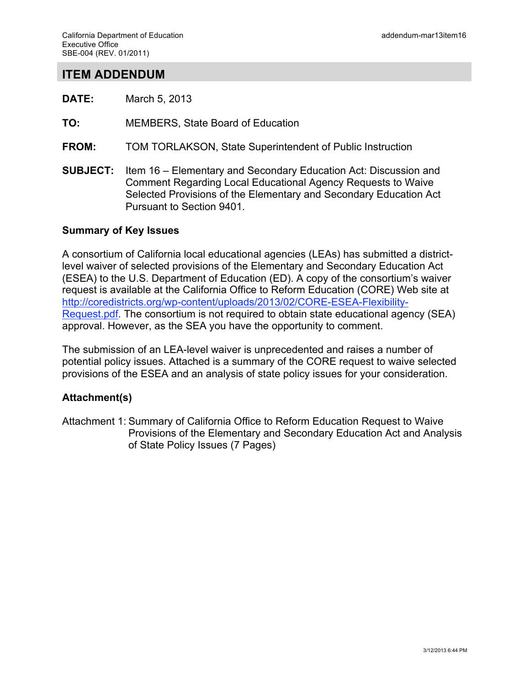# **ITEM ADDENDUM**

- **DATE:** March 5, 2013
- **TO:** MEMBERS, State Board of Education
- **FROM:** TOM TORLAKSON, State Superintendent of Public Instruction
- **SUBJECT:** Item 16 Elementary and Secondary Education Act: Discussion and Comment Regarding Local Educational Agency Requests to Waive Selected Provisions of the Elementary and Secondary Education Act Pursuant to Section 9401.

#### **Summary of Key Issues**

A consortium of California local educational agencies (LEAs) has submitted a districtlevel waiver of selected provisions of the Elementary and Secondary Education Act (ESEA) to the U.S. Department of Education (ED). A copy of the consortium's waiver request is available at the California Office to Reform Education (CORE) Web site at http://coredistricts.org/wp-content/uploads/2013/02/CORE-ESEA-Flexibility-Request.pdf. The consortium is not required to obtain state educational agency (SEA) approval. However, as the SEA you have the opportunity to comment.

The submission of an LEA-level waiver is unprecedented and raises a number of potential policy issues. Attached is a summary of the CORE request to waive selected provisions of the ESEA and an analysis of state policy issues for your consideration.

#### **Attachment(s)**

Attachment 1: Summary of California Office to Reform Education Request to Waive Provisions of the Elementary and Secondary Education Act and Analysis of State Policy Issues (7 Pages)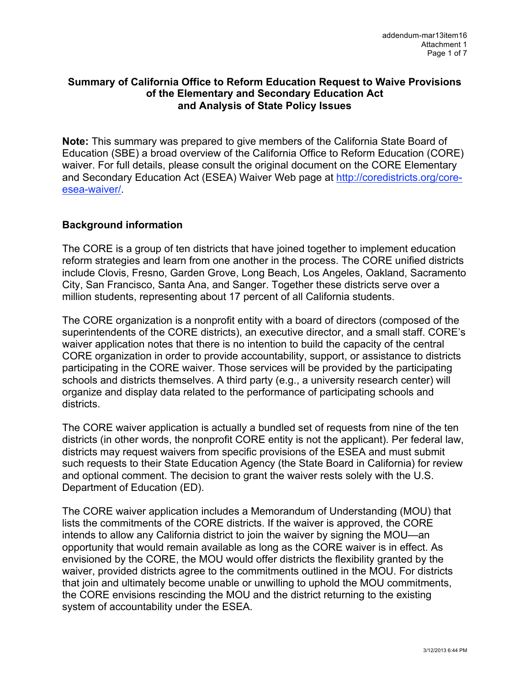#### **Summary of California Office to Reform Education Request to Waive Provisions of the Elementary and Secondary Education Act and Analysis of State Policy Issues**

**Note:** This summary was prepared to give members of the California State Board of Education (SBE) a broad overview of the California Office to Reform Education (CORE) waiver. For full details, please consult the original document on the CORE Elementary and Secondary Education Act (ESEA) Waiver Web page at http://coredistricts.org/coreesea-waiver/.

## **Background information**

The CORE is a group of ten districts that have joined together to implement education reform strategies and learn from one another in the process. The CORE unified districts include Clovis, Fresno, Garden Grove, Long Beach, Los Angeles, Oakland, Sacramento City, San Francisco, Santa Ana, and Sanger. Together these districts serve over a million students, representing about 17 percent of all California students.

The CORE organization is a nonprofit entity with a board of directors (composed of the superintendents of the CORE districts), an executive director, and a small staff. CORE's waiver application notes that there is no intention to build the capacity of the central CORE organization in order to provide accountability, support, or assistance to districts participating in the CORE waiver. Those services will be provided by the participating schools and districts themselves. A third party (e.g., a university research center) will organize and display data related to the performance of participating schools and districts.

The CORE waiver application is actually a bundled set of requests from nine of the ten districts (in other words, the nonprofit CORE entity is not the applicant). Per federal law, districts may request waivers from specific provisions of the ESEA and must submit such requests to their State Education Agency (the State Board in California) for review and optional comment. The decision to grant the waiver rests solely with the U.S. Department of Education (ED).

The CORE waiver application includes a Memorandum of Understanding (MOU) that lists the commitments of the CORE districts. If the waiver is approved, the CORE intends to allow any California district to join the waiver by signing the MOU—an opportunity that would remain available as long as the CORE waiver is in effect. As envisioned by the CORE, the MOU would offer districts the flexibility granted by the waiver, provided districts agree to the commitments outlined in the MOU. For districts that join and ultimately become unable or unwilling to uphold the MOU commitments, the CORE envisions rescinding the MOU and the district returning to the existing system of accountability under the ESEA.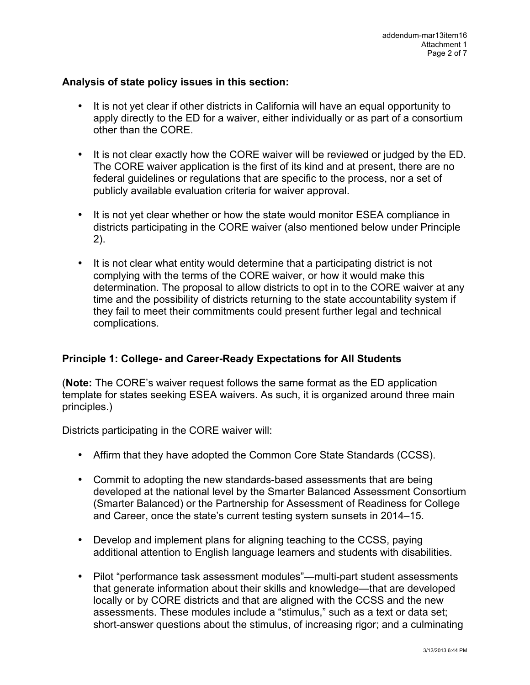#### **Analysis of state policy issues in this section:**

- It is not yet clear if other districts in California will have an equal opportunity to apply directly to the ED for a waiver, either individually or as part of a consortium other than the CORE.
- It is not clear exactly how the CORE waiver will be reviewed or judged by the ED. The CORE waiver application is the first of its kind and at present, there are no federal guidelines or regulations that are specific to the process, nor a set of publicly available evaluation criteria for waiver approval.
- It is not yet clear whether or how the state would monitor ESEA compliance in districts participating in the CORE waiver (also mentioned below under Principle 2).
- It is not clear what entity would determine that a participating district is not complying with the terms of the CORE waiver, or how it would make this determination. The proposal to allow districts to opt in to the CORE waiver at any time and the possibility of districts returning to the state accountability system if they fail to meet their commitments could present further legal and technical complications.

## **Principle 1: College- and Career-Ready Expectations for All Students**

(**Note:** The CORE's waiver request follows the same format as the ED application template for states seeking ESEA waivers. As such, it is organized around three main principles.)

Districts participating in the CORE waiver will:

- Affirm that they have adopted the Common Core State Standards (CCSS).
- Commit to adopting the new standards-based assessments that are being developed at the national level by the Smarter Balanced Assessment Consortium (Smarter Balanced) or the Partnership for Assessment of Readiness for College and Career, once the state's current testing system sunsets in 2014–15.
- Develop and implement plans for aligning teaching to the CCSS, paying additional attention to English language learners and students with disabilities.
- Pilot "performance task assessment modules"—multi-part student assessments that generate information about their skills and knowledge—that are developed locally or by CORE districts and that are aligned with the CCSS and the new assessments. These modules include a "stimulus," such as a text or data set; short-answer questions about the stimulus, of increasing rigor; and a culminating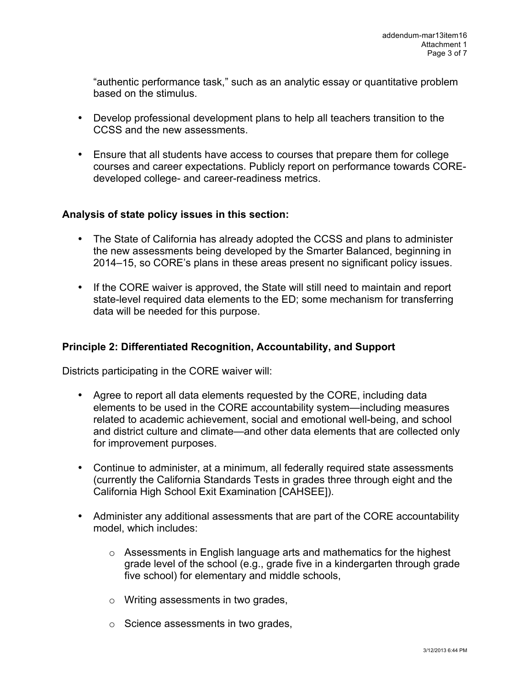"authentic performance task," such as an analytic essay or quantitative problem based on the stimulus.

- Develop professional development plans to help all teachers transition to the CCSS and the new assessments.
- Ensure that all students have access to courses that prepare them for college courses and career expectations. Publicly report on performance towards COREdeveloped college- and career-readiness metrics.

## **Analysis of state policy issues in this section:**

- The State of California has already adopted the CCSS and plans to administer the new assessments being developed by the Smarter Balanced, beginning in 2014–15, so CORE's plans in these areas present no significant policy issues.
- If the CORE waiver is approved, the State will still need to maintain and report state-level required data elements to the ED; some mechanism for transferring data will be needed for this purpose.

#### **Principle 2: Differentiated Recognition, Accountability, and Support**

Districts participating in the CORE waiver will:

- Agree to report all data elements requested by the CORE, including data elements to be used in the CORE accountability system—including measures related to academic achievement, social and emotional well-being, and school and district culture and climate—and other data elements that are collected only for improvement purposes.
- Continue to administer, at a minimum, all federally required state assessments (currently the California Standards Tests in grades three through eight and the California High School Exit Examination [CAHSEE]).
- Administer any additional assessments that are part of the CORE accountability model, which includes:
	- o Assessments in English language arts and mathematics for the highest grade level of the school (e.g., grade five in a kindergarten through grade five school) for elementary and middle schools,
	- o Writing assessments in two grades,
	- o Science assessments in two grades,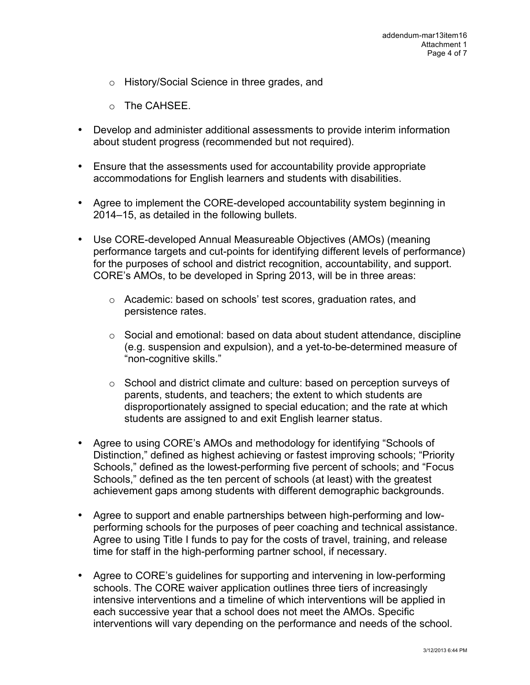- o History/Social Science in three grades, and
- o The CAHSEE.
- Develop and administer additional assessments to provide interim information about student progress (recommended but not required).
- Ensure that the assessments used for accountability provide appropriate accommodations for English learners and students with disabilities.
- Agree to implement the CORE-developed accountability system beginning in 2014–15, as detailed in the following bullets.
- Use CORE-developed Annual Measureable Objectives (AMOs) (meaning performance targets and cut-points for identifying different levels of performance) for the purposes of school and district recognition, accountability, and support. CORE's AMOs, to be developed in Spring 2013, will be in three areas:
	- o Academic: based on schools' test scores, graduation rates, and persistence rates.
	- $\circ$  Social and emotional: based on data about student attendance, discipline (e.g. suspension and expulsion), and a yet-to-be-determined measure of "non-cognitive skills."
	- o School and district climate and culture: based on perception surveys of parents, students, and teachers; the extent to which students are disproportionately assigned to special education; and the rate at which students are assigned to and exit English learner status.
- Agree to using CORE's AMOs and methodology for identifying "Schools of Distinction," defined as highest achieving or fastest improving schools; "Priority Schools," defined as the lowest-performing five percent of schools; and "Focus Schools," defined as the ten percent of schools (at least) with the greatest achievement gaps among students with different demographic backgrounds.
- Agree to support and enable partnerships between high-performing and lowperforming schools for the purposes of peer coaching and technical assistance. Agree to using Title I funds to pay for the costs of travel, training, and release time for staff in the high-performing partner school, if necessary.
- Agree to CORE's guidelines for supporting and intervening in low-performing schools. The CORE waiver application outlines three tiers of increasingly intensive interventions and a timeline of which interventions will be applied in each successive year that a school does not meet the AMOs. Specific interventions will vary depending on the performance and needs of the school.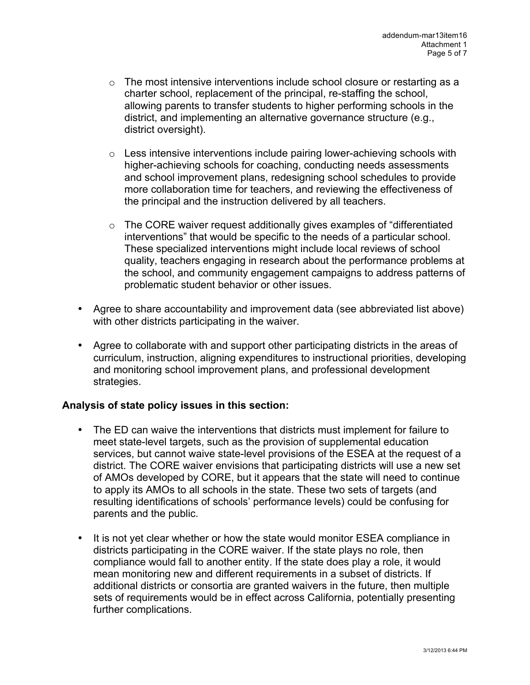- $\circ$  The most intensive interventions include school closure or restarting as a charter school, replacement of the principal, re-staffing the school, allowing parents to transfer students to higher performing schools in the district, and implementing an alternative governance structure (e.g., district oversight).
- $\circ$  Less intensive interventions include pairing lower-achieving schools with higher-achieving schools for coaching, conducting needs assessments and school improvement plans, redesigning school schedules to provide more collaboration time for teachers, and reviewing the effectiveness of the principal and the instruction delivered by all teachers.
- o The CORE waiver request additionally gives examples of "differentiated interventions" that would be specific to the needs of a particular school. These specialized interventions might include local reviews of school quality, teachers engaging in research about the performance problems at the school, and community engagement campaigns to address patterns of problematic student behavior or other issues.
- Agree to share accountability and improvement data (see abbreviated list above) with other districts participating in the waiver.
- Agree to collaborate with and support other participating districts in the areas of curriculum, instruction, aligning expenditures to instructional priorities, developing and monitoring school improvement plans, and professional development strategies.

## **Analysis of state policy issues in this section:**

- The ED can waive the interventions that districts must implement for failure to meet state-level targets, such as the provision of supplemental education services, but cannot waive state-level provisions of the ESEA at the request of a district. The CORE waiver envisions that participating districts will use a new set of AMOs developed by CORE, but it appears that the state will need to continue to apply its AMOs to all schools in the state. These two sets of targets (and resulting identifications of schools' performance levels) could be confusing for parents and the public.
- It is not yet clear whether or how the state would monitor ESEA compliance in districts participating in the CORE waiver. If the state plays no role, then compliance would fall to another entity. If the state does play a role, it would mean monitoring new and different requirements in a subset of districts. If additional districts or consortia are granted waivers in the future, then multiple sets of requirements would be in effect across California, potentially presenting further complications.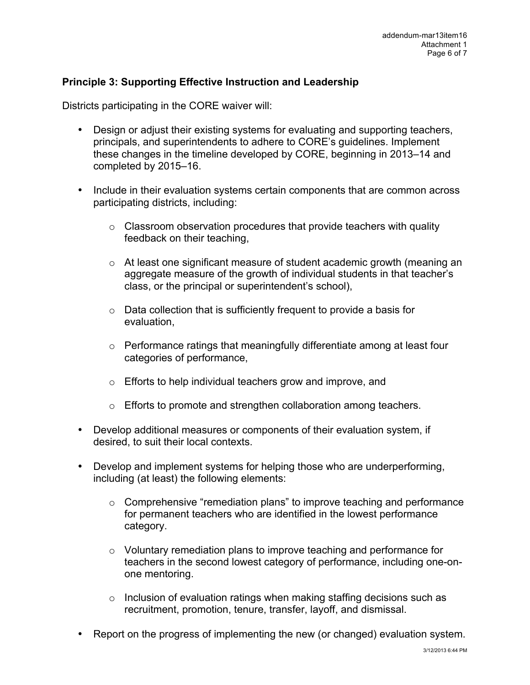## **Principle 3: Supporting Effective Instruction and Leadership**

Districts participating in the CORE waiver will:

- Design or adjust their existing systems for evaluating and supporting teachers, principals, and superintendents to adhere to CORE's guidelines. Implement these changes in the timeline developed by CORE, beginning in 2013–14 and completed by 2015–16.
- Include in their evaluation systems certain components that are common across participating districts, including:
	- $\circ$  Classroom observation procedures that provide teachers with quality feedback on their teaching,
	- $\circ$  At least one significant measure of student academic growth (meaning an aggregate measure of the growth of individual students in that teacher's class, or the principal or superintendent's school),
	- o Data collection that is sufficiently frequent to provide a basis for evaluation,
	- o Performance ratings that meaningfully differentiate among at least four categories of performance,
	- o Efforts to help individual teachers grow and improve, and
	- o Efforts to promote and strengthen collaboration among teachers.
- Develop additional measures or components of their evaluation system, if desired, to suit their local contexts.
- Develop and implement systems for helping those who are underperforming, including (at least) the following elements:
	- $\circ$  Comprehensive "remediation plans" to improve teaching and performance for permanent teachers who are identified in the lowest performance category.
	- $\circ$  Voluntary remediation plans to improve teaching and performance for teachers in the second lowest category of performance, including one-onone mentoring.
	- $\circ$  Inclusion of evaluation ratings when making staffing decisions such as recruitment, promotion, tenure, transfer, layoff, and dismissal.
- Report on the progress of implementing the new (or changed) evaluation system.